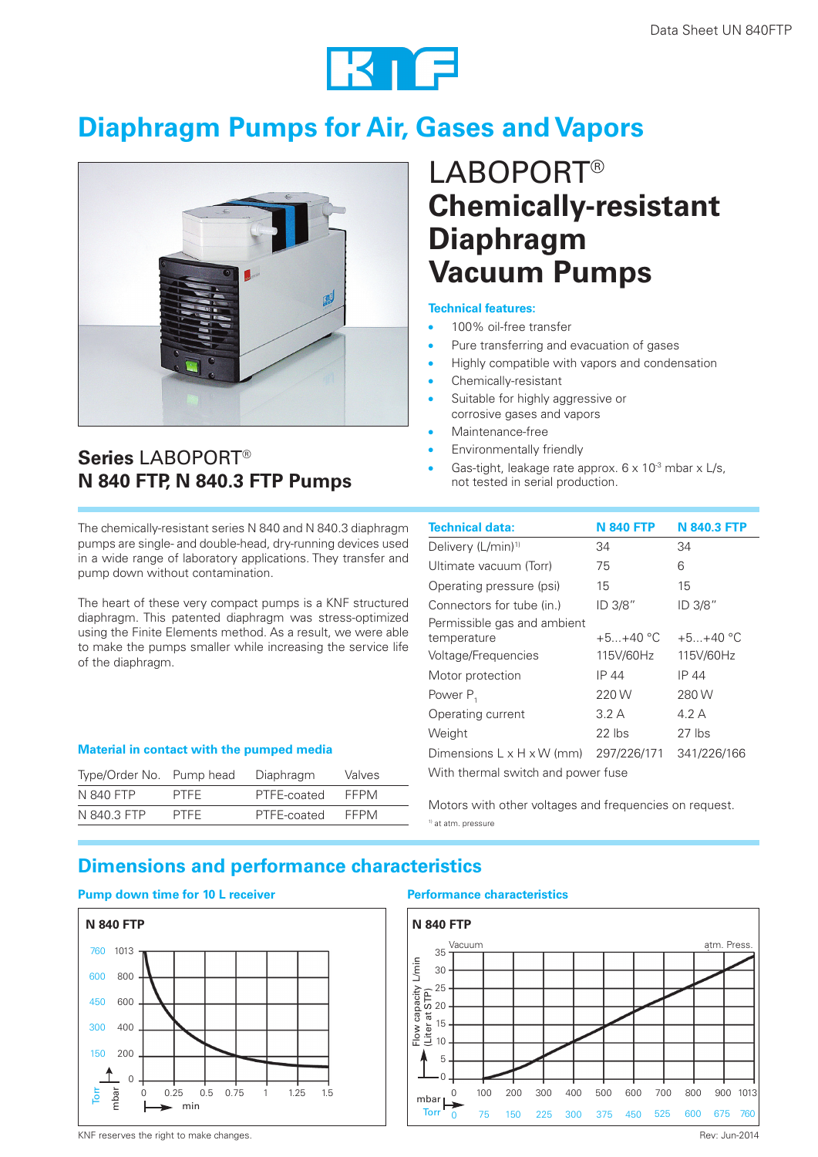

# **Diaphragm Pumps for Air, Gases and Vapors**



# LABOPORT® **Chemically-resistant Diaphragm Vacuum Pumps**

#### **Technical features:**

- 100% oil-free transfer
- Pure transferring and evacuation of gases
- Highly compatible with vapors and condensation
- Chemically-resistant
- Suitable for highly aggressive or corrosive gases and vapors
- Maintenance-free
- Environmentally friendly
- Gas-tight, leakage rate approx.  $6 \times 10^{-3}$  mbar x L/s, not tested in serial production.

The chemically-resistant series N 840 and N 840.3 diaphragm pumps are single- and double-head, dry-running devices used in a wide range of laboratory applications. They transfer and pump down without contamination.

**N 840 FTP, N 840.3 FTP Pumps**

**Series** LABOPORT®

The heart of these very compact pumps is a KNF structured diaphragm. This patented diaphragm was stress-optimized using the Finite Elements method. As a result, we were able to make the pumps smaller while increasing the service life of the diaphragm.

### **Material in contact with the pumped media**

| Type/Order No. Pump head |             | Diaphragm   | Valves      |
|--------------------------|-------------|-------------|-------------|
| N 840 FTP                | <b>PTFF</b> | PTFE-coated | <b>FFPM</b> |
| N 840.3 FTP              | <b>PTFF</b> | PTFE-coated | <b>FFPM</b> |

| Technical data:                       | <b>N 840 FTP</b> | <b>N 840.3 FTP</b> |  |  |
|---------------------------------------|------------------|--------------------|--|--|
| Delivery (L/min) <sup>1)</sup>        | 34               | 34                 |  |  |
| Ultimate vacuum (Torr)                | 75               | 6                  |  |  |
| Operating pressure (psi)              | 15               | 15                 |  |  |
| Connectors for tube (in.)             | ID 3/8"          | ID 3/8"            |  |  |
| Permissible gas and ambient           |                  |                    |  |  |
| temperature                           | $+5+40 °C$       | $+5+40$ °C         |  |  |
| Voltage/Frequencies                   | 115V/60Hz        | 115V/60Hz          |  |  |
| Motor protection                      | IP 44            | IP 44              |  |  |
| Power $P_1$                           | 220 W            | 280 W              |  |  |
| Operating current                     | 3.2A             | 4.2 A              |  |  |
| Weight                                | $22$ lbs         | $27$ lbs           |  |  |
| Dimensions $L \times H \times W$ (mm) | 297/226/171      | 341/226/166        |  |  |
| With thermal switch and power fuse    |                  |                    |  |  |

Motors with other voltages and frequencies on request. 1) at atm. pressure

### **Dimensions and performance characteristics**

#### **Pump down time for 10 L receiver Performance characteristics**





KNF reserves the right to make changes. The review of the changes of the review of the review of the review of the review of the review of the review of the review of the review of the review of the review of the review of